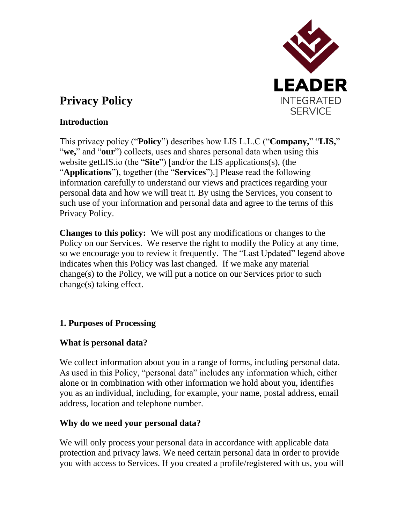

# **Privacy Policy**

## **Introduction**

This privacy policy ("**Policy**") describes how LIS L.L.C ("**Company,**" "**LIS,**" "**we,**" and "**our**") collects, uses and shares personal data when using this website getLIS.io (the "**Site**") [and/or the LIS applications(s), (the "**Applications**"), together (the "**Services**").] Please read the following information carefully to understand our views and practices regarding your personal data and how we will treat it. By using the Services, you consent to such use of your information and personal data and agree to the terms of this Privacy Policy.

**Changes to this policy:** We will post any modifications or changes to the Policy on our Services. We reserve the right to modify the Policy at any time, so we encourage you to review it frequently. The "Last Updated" legend above indicates when this Policy was last changed. If we make any material change(s) to the Policy, we will put a notice on our Services prior to such change(s) taking effect.

# **1. Purposes of Processing**

# **What is personal data?**

We collect information about you in a range of forms, including personal data. As used in this Policy, "personal data" includes any information which, either alone or in combination with other information we hold about you, identifies you as an individual, including, for example, your name, postal address, email address, location and telephone number.

# **Why do we need your personal data?**

We will only process your personal data in accordance with applicable data protection and privacy laws. We need certain personal data in order to provide you with access to Services. If you created a profile/registered with us, you will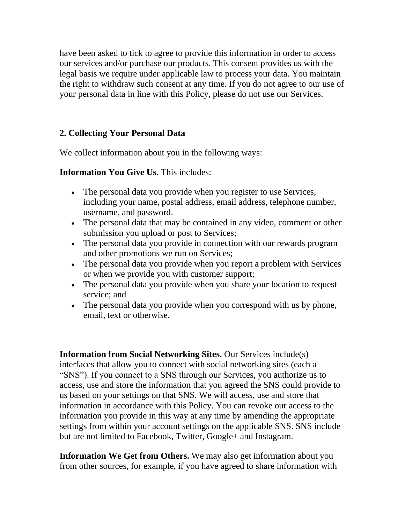have been asked to tick to agree to provide this information in order to access our services and/or purchase our products. This consent provides us with the legal basis we require under applicable law to process your data. You maintain the right to withdraw such consent at any time. If you do not agree to our use of your personal data in line with this Policy, please do not use our Services.

## **2. Collecting Your Personal Data**

We collect information about you in the following ways:

## **Information You Give Us.** This includes:

- The personal data you provide when you register to use Services, including your name, postal address, email address, telephone number, username, and password.
- The personal data that may be contained in any video, comment or other submission you upload or post to Services;
- The personal data you provide in connection with our rewards program and other promotions we run on Services;
- The personal data you provide when you report a problem with Services or when we provide you with customer support;
- The personal data you provide when you share your location to request service; and
- The personal data you provide when you correspond with us by phone, email, text or otherwise.

**Information from Social Networking Sites.** Our Services include(s) interfaces that allow you to connect with social networking sites (each a "SNS"). If you connect to a SNS through our Services, you authorize us to access, use and store the information that you agreed the SNS could provide to us based on your settings on that SNS. We will access, use and store that information in accordance with this Policy. You can revoke our access to the information you provide in this way at any time by amending the appropriate settings from within your account settings on the applicable SNS. SNS include but are not limited to Facebook, Twitter, Google+ and Instagram.

**Information We Get from Others.** We may also get information about you from other sources, for example, if you have agreed to share information with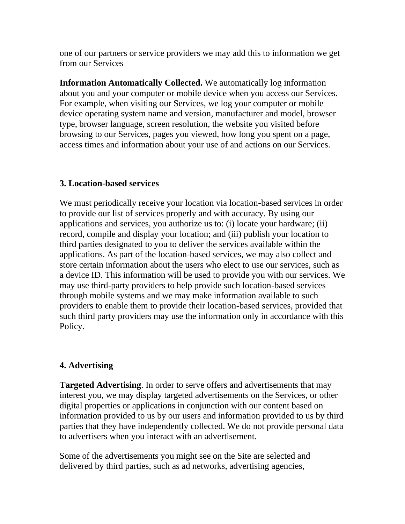one of our partners or service providers we may add this to information we get from our Services

**Information Automatically Collected.** We automatically log information about you and your computer or mobile device when you access our Services. For example, when visiting our Services, we log your computer or mobile device operating system name and version, manufacturer and model, browser type, browser language, screen resolution, the website you visited before browsing to our Services, pages you viewed, how long you spent on a page, access times and information about your use of and actions on our Services.

## **3. Location-based services**

We must periodically receive your location via location-based services in order to provide our list of services properly and with accuracy. By using our applications and services, you authorize us to: (i) locate your hardware; (ii) record, compile and display your location; and (iii) publish your location to third parties designated to you to deliver the services available within the applications. As part of the location-based services, we may also collect and store certain information about the users who elect to use our services, such as a device ID. This information will be used to provide you with our services. We may use third-party providers to help provide such location-based services through mobile systems and we may make information available to such providers to enable them to provide their location-based services, provided that such third party providers may use the information only in accordance with this Policy.

# **4. Advertising**

**Targeted Advertising**. In order to serve offers and advertisements that may interest you, we may display targeted advertisements on the Services, or other digital properties or applications in conjunction with our content based on information provided to us by our users and information provided to us by third parties that they have independently collected. We do not provide personal data to advertisers when you interact with an advertisement.

Some of the advertisements you might see on the Site are selected and delivered by third parties, such as ad networks, advertising agencies,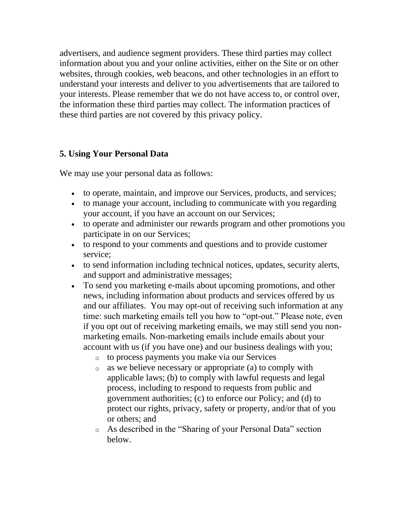advertisers, and audience segment providers. These third parties may collect information about you and your online activities, either on the Site or on other websites, through cookies, web beacons, and other technologies in an effort to understand your interests and deliver to you advertisements that are tailored to your interests. Please remember that we do not have access to, or control over, the information these third parties may collect. The information practices of these third parties are not covered by this privacy policy.

## **5. Using Your Personal Data**

We may use your personal data as follows:

- to operate, maintain, and improve our Services, products, and services;
- to manage your account, including to communicate with you regarding your account, if you have an account on our Services;
- to operate and administer our rewards program and other promotions you participate in on our Services;
- to respond to your comments and questions and to provide customer service;
- to send information including technical notices, updates, security alerts, and support and administrative messages;
- To send you marketing e-mails about upcoming promotions, and other news, including information about products and services offered by us and our affiliates. You may opt-out of receiving such information at any time: such marketing emails tell you how to "opt-out." Please note, even if you opt out of receiving marketing emails, we may still send you nonmarketing emails. Non-marketing emails include emails about your account with us (if you have one) and our business dealings with you;
	- o to process payments you make via our Services
	- o as we believe necessary or appropriate (a) to comply with applicable laws; (b) to comply with lawful requests and legal process, including to respond to requests from public and government authorities; (c) to enforce our Policy; and (d) to protect our rights, privacy, safety or property, and/or that of you or others; and
	- o As described in the "Sharing of your Personal Data" section below.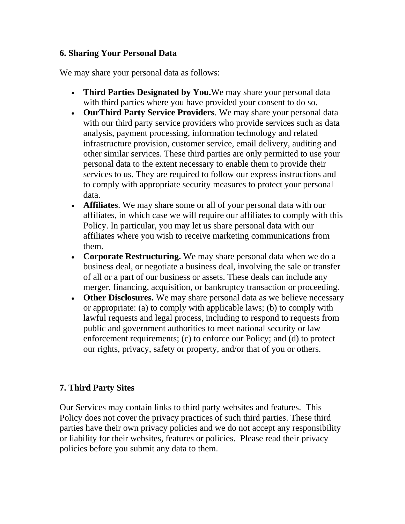#### **6. Sharing Your Personal Data**

We may share your personal data as follows:

- **Third Parties Designated by You.** We may share your personal data with third parties where you have provided your consent to do so.
- **OurThird Party Service Providers**. We may share your personal data with our third party service providers who provide services such as data analysis, payment processing, information technology and related infrastructure provision, customer service, email delivery, auditing and other similar services. These third parties are only permitted to use your personal data to the extent necessary to enable them to provide their services to us. They are required to follow our express instructions and to comply with appropriate security measures to protect your personal data.
- **Affiliates**. We may share some or all of your personal data with our affiliates, in which case we will require our affiliates to comply with this Policy. In particular, you may let us share personal data with our affiliates where you wish to receive marketing communications from them.
- **Corporate Restructuring.** We may share personal data when we do a business deal, or negotiate a business deal, involving the sale or transfer of all or a part of our business or assets. These deals can include any merger, financing, acquisition, or bankruptcy transaction or proceeding.
- **Other Disclosures.** We may share personal data as we believe necessary or appropriate: (a) to comply with applicable laws; (b) to comply with lawful requests and legal process, including to respond to requests from public and government authorities to meet national security or law enforcement requirements; (c) to enforce our Policy; and (d) to protect our rights, privacy, safety or property, and/or that of you or others.

## **7. Third Party Sites**

Our Services may contain links to third party websites and features. This Policy does not cover the privacy practices of such third parties. These third parties have their own privacy policies and we do not accept any responsibility or liability for their websites, features or policies. Please read their privacy policies before you submit any data to them.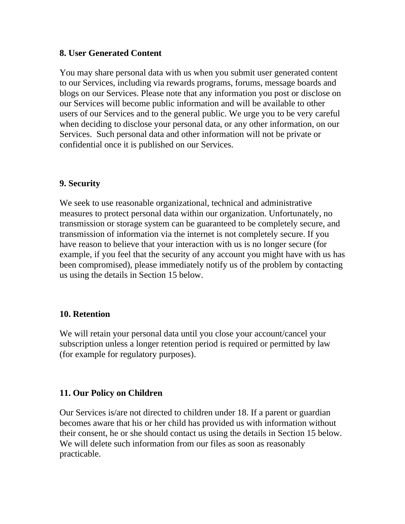## **8. User Generated Content**

You may share personal data with us when you submit user generated content to our Services, including via rewards programs, forums, message boards and blogs on our Services. Please note that any information you post or disclose on our Services will become public information and will be available to other users of our Services and to the general public. We urge you to be very careful when deciding to disclose your personal data, or any other information, on our Services. Such personal data and other information will not be private or confidential once it is published on our Services.

#### **9. Security**

We seek to use reasonable organizational, technical and administrative measures to protect personal data within our organization. Unfortunately, no transmission or storage system can be guaranteed to be completely secure, and transmission of information via the internet is not completely secure. If you have reason to believe that your interaction with us is no longer secure (for example, if you feel that the security of any account you might have with us has been compromised), please immediately notify us of the problem by contacting us using the details in Section 15 below.

#### **10. Retention**

We will retain your personal data until you close your account/cancel your subscription unless a longer retention period is required or permitted by law (for example for regulatory purposes).

## **11. Our Policy on Children**

Our Services is/are not directed to children under 18. If a parent or guardian becomes aware that his or her child has provided us with information without their consent, he or she should contact us using the details in Section 15 below. We will delete such information from our files as soon as reasonably practicable.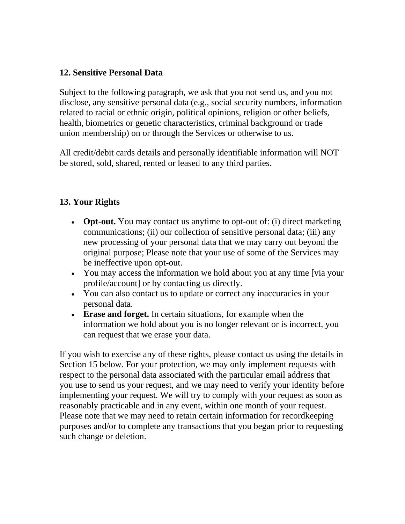#### **12. Sensitive Personal Data**

Subject to the following paragraph, we ask that you not send us, and you not disclose, any sensitive personal data (e.g., social security numbers, information related to racial or ethnic origin, political opinions, religion or other beliefs, health, biometrics or genetic characteristics, criminal background or trade union membership) on or through the Services or otherwise to us.

All credit/debit cards details and personally identifiable information will NOT be stored, sold, shared, rented or leased to any third parties.

## **13. Your Rights**

- **Opt-out.** You may contact us anytime to opt-out of: (i) direct marketing communications; (ii) our collection of sensitive personal data; (iii) any new processing of your personal data that we may carry out beyond the original purpose; Please note that your use of some of the Services may be ineffective upon opt-out.
- You may access the information we hold about you at any time [via your] profile/account] or by contacting us directly.
- You can also contact us to update or correct any inaccuracies in your personal data.
- **Erase and forget.** In certain situations, for example when the information we hold about you is no longer relevant or is incorrect, you can request that we erase your data.

If you wish to exercise any of these rights, please contact us using the details in Section 15 below. For your protection, we may only implement requests with respect to the personal data associated with the particular email address that you use to send us your request, and we may need to verify your identity before implementing your request. We will try to comply with your request as soon as reasonably practicable and in any event, within one month of your request. Please note that we may need to retain certain information for recordkeeping purposes and/or to complete any transactions that you began prior to requesting such change or deletion.